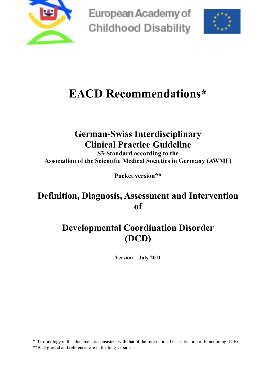

European Academy of **Childhood Disability** 



# **EACD Recommendations\***

## **German-Swiss Interdisciplinary Clinical Practice Guideline**

**S3-Standard according to the Association of the Scientific Medical Societies in Germany (AWMF)**

**Pocket version\*\*** 

## **Definition, Diagnosis, Assessment and Intervention of**

## **Developmental Coordination Disorder (DCD)**

**Version – July 2011**

\* Terminology in this document is consistent with that of the International Classification of Functioning (ICF) \*\*Background and references are in the long version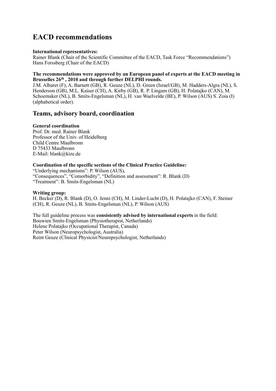## **EACD recommendations**

#### **International representatives:**

Rainer Blank (Chair of the Scientific Committee of the EACD, Task Force "Recommendations") Hans Forssberg (Chair of the EACD)

#### **The recommendations were approved by an European panel of experts at the EACD meeting in Brusselles 26th , 2010 and through further DELPHI rounds.**

J.M. Albaret (F), A. Barnett (GB), R. Geuze (NL), D. Green (Israel/GB), M. Hadders-Algra (NL), S. Henderson (GB), M.L. Kaiser (CH), A. Kirby (GB), R. P. Lingam (GB), H. Polatajko (CAN), M. Schoemaker (NL), B. Smits-Engelsman (NL), H. van Waelvelde (BE), P. Wilson (AUS) S. Zoia (I) (alphabetical order).

### **Teams, advisory board, coordination**

#### **General coordination**

Prof. Dr. med. Rainer Blank Professor of the Univ. of Heidelberg Child Centre Maulbronn D 75433 Maulbronn E-Mail: blank@kize.de

#### **Coordination of the specific sections of the Clinical Practice Guideline:**

"Underlying mechanisms": P. Wilson (AUS), "Consequences", "Comorbidity", "Definition and assessment": R. Blank (D) "Treatment": B. Smits-Engelsman (NL)

#### **Writing group:**

H. Becker (D), R. Blank (D), O. Jenni (CH), M. Linder-Lucht (D), H. Polatajko (CAN), F. Steiner (CH), R. Geuze (NL), B. Smits-Engelsman (NL), P. Wilson (AUS)

The full guideline process was **consistently advised by international experts** in the field: Bouwien Smits-Engelsman (Physiotherapist, Netherlands) Helene Polatajko (Occupational Therapist, Canada) Peter Wilson (Neuropsychologist, Australia) Reint Geuze (Clinical Physicist/Neuropsychologist, Netherlands)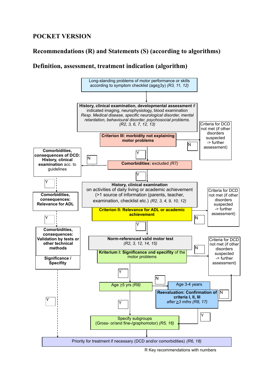## **POCKET VERSION**

## **Recommendations (R) and Statements (S) (according to algorithms)**

### **Definition, assessment, treatment indication (algorithm)**



R Key recommendations with numbers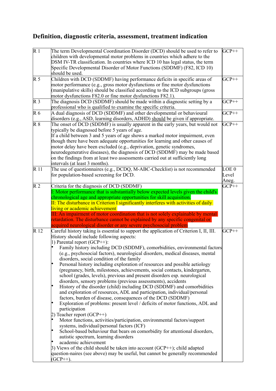## **Definition, diagnostic criteria, assessment, treatment indication**

| $\overline{R}1$ | The term Developmental Coordination Disorder (DCD) should be used to refer to<br>children with developmental motor problems in countries which adhere to the<br>DSM IV-TR classification. In countries where ICD 10 has legal status, the term<br>Specific Developmental Disorder of Motor Functions (SDDMF) (F82, ICD 10)<br>should be used.                                                                                                                                                                                                                                                                                                                                                                                                                                                                                                                                                                                                                                                                                                                                                                                                                                                                                                                                                                                                                                                                                                                                                                       | $GCP++$                 |
|-----------------|---------------------------------------------------------------------------------------------------------------------------------------------------------------------------------------------------------------------------------------------------------------------------------------------------------------------------------------------------------------------------------------------------------------------------------------------------------------------------------------------------------------------------------------------------------------------------------------------------------------------------------------------------------------------------------------------------------------------------------------------------------------------------------------------------------------------------------------------------------------------------------------------------------------------------------------------------------------------------------------------------------------------------------------------------------------------------------------------------------------------------------------------------------------------------------------------------------------------------------------------------------------------------------------------------------------------------------------------------------------------------------------------------------------------------------------------------------------------------------------------------------------------|-------------------------|
| $\mathbb{R} 5$  | Children with DCD (SDDMF) having performance deficits in specific areas of<br>motor performance (e.g., gross motor dysfunctions or fine motor dysfunctions<br>(manipulative skills) should be classified according to the ICD subgroups (gross<br>motor dysfunctions F82.0 or fine motor dysfunctions F82.1).                                                                                                                                                                                                                                                                                                                                                                                                                                                                                                                                                                                                                                                                                                                                                                                                                                                                                                                                                                                                                                                                                                                                                                                                       | $GCP++$                 |
| R <sub>3</sub>  | The diagnosis DCD (SDDMF) should be made within a diagnostic setting by a<br>professional who is qualified to examine the specific criteria.                                                                                                                                                                                                                                                                                                                                                                                                                                                                                                                                                                                                                                                                                                                                                                                                                                                                                                                                                                                                                                                                                                                                                                                                                                                                                                                                                                        | $GCP++$                 |
| R <sub>6</sub>  | A dual diagnosis of DCD (SDDMF) and other developmental or behavioural<br>disorders (e.g., ASD, learning disorders, ADHD) should be given if appropriate.                                                                                                                                                                                                                                                                                                                                                                                                                                                                                                                                                                                                                                                                                                                                                                                                                                                                                                                                                                                                                                                                                                                                                                                                                                                                                                                                                           | $GCP++$                 |
| $R_8$           | The onset of DCD (SDDMF) is usually apparent in the early years, but would not<br>typically be diagnosed before 5 years of age.<br>If a child between 3 and 5 years of age shows a marked motor impairment, even<br>though there have been adequate opportunities for learning and other causes of<br>motor delay have been excluded (e.g., deprivation, genetic syndromes,<br>neurodegenerative diseases), the diagnosis of DCD (SDDMF) may be made based<br>on the findings from at least two assessments carried out at sufficiently long<br>intervals (at least 3 months).                                                                                                                                                                                                                                                                                                                                                                                                                                                                                                                                                                                                                                                                                                                                                                                                                                                                                                                                      | $GCP++$                 |
| R 11            | The use of questionnaires (e.g., DCDQ, M-ABC-Checklist) is not recommended<br>for population-based screening for DCD.                                                                                                                                                                                                                                                                                                                                                                                                                                                                                                                                                                                                                                                                                                                                                                                                                                                                                                                                                                                                                                                                                                                                                                                                                                                                                                                                                                                               | LOE 0<br>Level<br>Aneg. |
| R <sub>2</sub>  | Criteria for the diagnosis of DCD (SDDMF)<br>I: Motor performance that is substantially below expected levels given the child's<br>chronological age and appropriate opportunities for skill acquisition.<br>II: The disturbance in Criterion I significantly interferes with activities of daily<br>living or academic achievement<br>III: An impairment of motor coordination that is not solely explainable by mental<br>retardation. The disturbance cannot be explained by any specific congenital or<br>acquired neurological disorder or any severe psychosocial problem                                                                                                                                                                                                                                                                                                                                                                                                                                                                                                                                                                                                                                                                                                                                                                                                                                                                                                                                     | $GCP++$                 |
| R 12            | Careful history taking is essential to support the application of Criterion I, II, III.<br>History should include following aspects:<br>1) Parental report $(GCP++)$ :<br>Family history including DCD (SDDMF), comorbidities, environmental factors<br>(e.g., psychosocial factors), neurological disorders, medical diseases, mental<br>disorders, social condition of the family<br>Personal history including exploration of resources and possible aetiology<br>(pregnancy, birth, milestones, achievements, social contacts, kindergarten,<br>school (grades, levels), previous and present disorders esp. neurological<br>disorders, sensory problems (previous assessments), accidents<br>History of the disorder (child) including DCD (SDDMF) and comorbidities<br>and exploration of resources, ADL and participation, individual/personal<br>factors, burden of disease, consequences of the DCD (SDDMF)<br>Exploration of problems: present level / deficits of motor functions, ADL and<br>participation<br>2) Teacher report $(GCP++)$<br>Motor functions, activities/participation, environmental factors/support<br>systems, individual/personal factors (ICF)<br>School-based behaviour that bears on comorbidity for attentional disorders,<br>autistic spectrum, learning disorders<br>academic achievement<br>$\beta$ ) Views of the child should be taken into account (GCP++); child adapted<br>question-naires (see above) may be useful, but cannot be generally recommended<br>$(GCP++).$ | $GCP++$                 |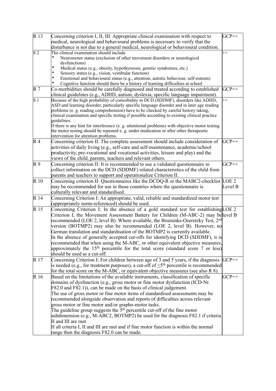| R 13            | Concerning criterion I, II, III: Appropriate clinical examination with respect to<br>medical, neurological and behavioural problems is necessary to verify that the                                  | $GCP++$ |
|-----------------|------------------------------------------------------------------------------------------------------------------------------------------------------------------------------------------------------|---------|
|                 | disturbance is not due to a general medical, neurological or behavioural condition.                                                                                                                  |         |
| $\overline{S2}$ | The clinical examination should include<br>Neuromotor status (exclusion of other movement disorders or neurological                                                                                  | $++$    |
|                 | dysfunctions)<br>Medical status (e.g., obesity, hypothyreosis, genetic syndromes, etc.)                                                                                                              |         |
|                 | Sensory status (e.g., vision, vestibular function)                                                                                                                                                   |         |
|                 | ٠<br>Emotional and behavioural status (e.g., attention, autistic behaviour, self-esteem)<br>Cognitive function should there be a history of learning difficulties at school                          |         |
| R <sub>7</sub>  | Co-morbidities should be carefully diagnosed and treated according to established                                                                                                                    | $GCP++$ |
|                 | clinical guidelines (e.g., ADHD, autism, dyslexia, specific language impairment).                                                                                                                    |         |
| $\overline{S1}$ | Because of the high probability of comorbidity in DCD (SDDMF), disorders like ADHD,<br>ASD and learning disorder, particularly specific language disorder and in later age reading                   | $+$     |
|                 | problems (e. g. reading comprehension) have to be checked by careful history taking,<br>clinical examination and specific testing if possible according to existing clinical practice<br>guidelines. |         |
|                 | If there is any hint for interference (e. g. attentional problems) with objective motor testing                                                                                                      |         |
|                 | the motor testing should be repeated e. g. under medication or after other therapeutic<br>intervention for attention problems.                                                                       |         |
| R <sub>4</sub>  | Concerning criterion II: The complete assessment should include consideration of<br>activities of daily living (e.g., self-care and self-maintenance, academic/school                                | $GCP++$ |
|                 | productivity, pre-vocational and vocational activities, leisure and play) and the                                                                                                                    |         |
|                 | views of the child, parents, teachers and relevant others.                                                                                                                                           |         |
| R <sub>9</sub>  | Concerning criterion II: It is recommended to use a validated questionnaire to                                                                                                                       | $GCP++$ |
|                 | collect information on the DCD (SDDMF) related characteristics of the child from<br>parents and teachers to support and operationalize Criterion II.                                                 |         |
| R <sub>10</sub> | Concerning criterion II: Questionnaires like the DCDQ-R or the MABC2-checklist LOE 2                                                                                                                 |         |
|                 | may be recommended for use in those countries where the questionnaire is                                                                                                                             | Level B |
|                 | culturally relevant and standardised.                                                                                                                                                                |         |
| R 14            | Concerning Criterion I: An appropriate, valid, reliable and standardized motor test                                                                                                                  |         |
|                 | (appropriately norm-referenced) should be used.                                                                                                                                                      |         |
| R 15            | Concerning Criterion I: In the absence of a gold standard test for establishing LOE 2                                                                                                                |         |
|                 | Criterion I, the Movement Assessment Battery for Children (M-ABC-2) may believel B                                                                                                                   |         |
|                 | recommended (LOE 2, level B). Where available, the Bruininks-Oseretzky Test, 2nd                                                                                                                     |         |
|                 | version (BOTMP2) may also be recommended (LOE 2, level B). However, no                                                                                                                               |         |
|                 | German translation and standardisation of the BOTMP2 is currently available.                                                                                                                         |         |
|                 | In the absence of generally accepted cut-offs for identifying DCD (SDDMF), it is                                                                                                                     |         |
|                 | recommended that when using the M-ABC, or other equivalent objective measures,                                                                                                                       |         |
|                 | approximately the 15 <sup>th</sup> percentile for the total score (standard score 7 or less)<br>should be used as a cut-off.                                                                         |         |
| R 17            | Concerning Criterion I: For children between age of 3 and 5 years, if the diagnosis                                                                                                                  | $GCP++$ |
|                 | is needed (e.g., for treatment purposes), a cut-off of $\leq$ 5 <sup>th</sup> percentile is recommended                                                                                              |         |
|                 | for the total score on the M-ABC, or equivalent objective measures (see also R 8).                                                                                                                   |         |
| R <sub>16</sub> | Based on the limitations of the available instruments, classification of specific                                                                                                                    | $GCP++$ |
|                 | domains of dysfunction (e.g., gross motor or fine motor dysfunction (ICD-Nr.                                                                                                                         |         |
|                 | F82.0 and F82.1), can be made on the basis of clinical judgement.                                                                                                                                    |         |
|                 | The use of gross motor or fine motor items of standardised assessments may be                                                                                                                        |         |
|                 | recommended alongside observation and reports of difficulties across relevant                                                                                                                        |         |
|                 | gross motor or fine motor and/or grapho-motor tasks.                                                                                                                                                 |         |
|                 | The guideline group suggests the $5th$ percentile cut-off of the fine motor                                                                                                                          |         |
|                 | subdimension (e.g., M-ABC2, BOTMP2) be used for the diagnosis F82.1 if criteria                                                                                                                      |         |
|                 | II and III are met.                                                                                                                                                                                  |         |
|                 | If all criteria I, II and III are met and if fine motor function is within the normal                                                                                                                |         |
|                 | range then the diagnosis F82.0 can be made.                                                                                                                                                          |         |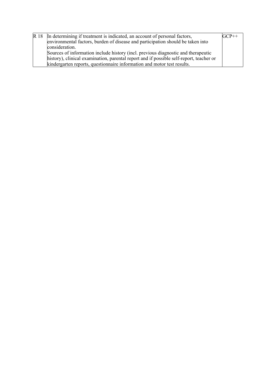| R 18 In determining if treatment is indicated, an account of personal factors,          | $\mathrm{GCP++}$ |
|-----------------------------------------------------------------------------------------|------------------|
| environmental factors, burden of disease and participation should be taken into         |                  |
| consideration.                                                                          |                  |
| Sources of information include history (incl. previous diagnostic and therapeutic       |                  |
| history), clinical examination, parental report and if possible self-report, teacher or |                  |
| kindergarten reports, questionnaire information and motor test results.                 |                  |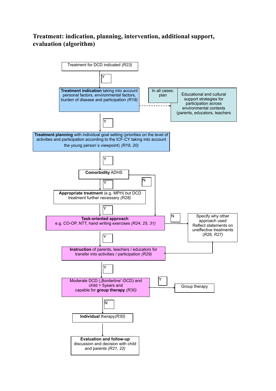### **Treatment: indication, planning, intervention, additional support, evaluation (algorithm)**

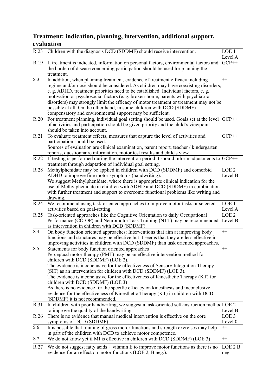## **Treatment: indication, planning, intervention, additional support, evaluation**

| R <sub>23</sub>  | Children with the diagnosis DCD (SDDMF) should receive intervention.                                                                                                                                                                                                                                                                                                                                                                                                                                                                                                                                                                                              | LOE <sub>1</sub><br>Level A |
|------------------|-------------------------------------------------------------------------------------------------------------------------------------------------------------------------------------------------------------------------------------------------------------------------------------------------------------------------------------------------------------------------------------------------------------------------------------------------------------------------------------------------------------------------------------------------------------------------------------------------------------------------------------------------------------------|-----------------------------|
| R 19             | If treatment is indicated, information on personal factors, environmental factors and<br>the burden of disease concerning participation should be used for planning the<br>treatment.                                                                                                                                                                                                                                                                                                                                                                                                                                                                             | $GCP++$                     |
| $\overline{S3}$  | In addition, when planning treatment, evidence of treatment efficacy including<br>regime and/or dose should be considered. As children may have coexisting disorders,<br>e. g. ADHD, treatment priorities need to be established. Individual factors, e. g.<br>motivation or psychosocial factors (e. g. broken-home, parents with psychiatric<br>disorders) may strongly limit the efficacy of motor treatment or treatment may not be<br>possible at all. On the other hand, in some children with DCD (SDDMF)<br>compensatory and environmental support may be sufficient.                                                                                     | $_{++}$                     |
| R <sub>20</sub>  | For treatment planning, individual goal setting should be used. Goals set at the level<br>of activities and participation should be given priority and the child's viewpoint<br>should be taken into account.                                                                                                                                                                                                                                                                                                                                                                                                                                                     | $GCP++$                     |
| R <sub>21</sub>  | To evaluate treatment effects, measures that capture the level of activities and<br>participation should be used.<br>Sources of evaluation are clinical examination, parent report, teacher / kindergarten<br>reports, questionnaire information, motor test results and child's view.                                                                                                                                                                                                                                                                                                                                                                            | $GCP++$                     |
| R 22             | If testing is performed during the intervention period it should inform adjustments to $ GCP $ ++<br>treatment through adaptation of individual goal setting.                                                                                                                                                                                                                                                                                                                                                                                                                                                                                                     |                             |
| R 28             | Methylphenidate may be applied in children with DCD (SDDMF) and comorbid<br>ADHD to improve fine motor symptoms (handwriting).<br>We suggest Methylphenidate, where there is appropriate clinical indication for the<br>use of Methylphenidate in children with ADHD and DCD (SDDMF) in combination<br>with further treatment and support to overcome functional problems like writing and<br>drawing.                                                                                                                                                                                                                                                            | LOE <sub>2</sub><br>Level B |
| R <sub>24</sub>  | We recommend using task-oriented approaches to improve motor tasks or selected<br>activities based on goal-setting.                                                                                                                                                                                                                                                                                                                                                                                                                                                                                                                                               | LOE <sub>1</sub><br>Level A |
| R 25             | Task-oriented approaches like the Cognitive Orientation to daily Occupational<br>Performance (CO-OP) and Neuromotor Task Training (NTT) may be recommended<br>as intervention in children with DCD (SDDMF).                                                                                                                                                                                                                                                                                                                                                                                                                                                       | LOE <sub>2</sub><br>Level B |
| S <sub>4</sub>   | On body function oriented approaches: Interventions that aim at improving body<br>functions and structures may be effective but it seems that they are less effective in<br>improving activities in children with DCD (SDDMF) than task oriented approaches.                                                                                                                                                                                                                                                                                                                                                                                                      | $++$                        |
| $\mathbf{S}$ 5   | Statements for body function oriented approaches<br>Perceptual motor therapy (PMT) may be an effective intervention method for<br>children with DCD (SDDMF) (LOE 2).<br>The evidence is inconclusive for the effectiveness of Sensory Integration Therapy<br>(SIT) as an intervention for children with DCD (SDDMF) (LOE 3).<br>The evidence is inconclusive for the effectiveness of Kinesthetic Therapy (KT) for<br>children with DCD (SDDMF) (LOE 3)<br>As there is no evidence for the specific efficacy on kinesthesis and inconclusive<br>evidence for the effectiveness of Kinesthetic Therapy (KT) in children with DCD<br>(SDDMF) it is not recommended. | $_{++}$                     |
| R 31             | In children with poor handwriting, we suggest a task-oriented self-instruction method LOE 2<br>to improve the quality of the handwriting                                                                                                                                                                                                                                                                                                                                                                                                                                                                                                                          | Level B                     |
| R 26             | There is no evidence that manual medical intervention is effective on the core<br>symptoms of DCD (SDDMF).                                                                                                                                                                                                                                                                                                                                                                                                                                                                                                                                                        | LOE <sub>3</sub><br>Level 0 |
| $\overline{S6}$  | It is possible that training of gross motor functions and strength exercises may help<br>in part of the children with DCD to achieve motor competence.                                                                                                                                                                                                                                                                                                                                                                                                                                                                                                            | $++$                        |
| $\overline{S}$ 7 | We do not know yet if MI is effective in children with DCD (SDDMF) (LOE 3)                                                                                                                                                                                                                                                                                                                                                                                                                                                                                                                                                                                        | $++$                        |
| R 27             | We do not suggest fatty acids $+$ vitamin E to improve motor functions as there is no<br>evidence for an effect on motor functions (LOE 2, B neg.).                                                                                                                                                                                                                                                                                                                                                                                                                                                                                                               | LOE 2 B<br>neg              |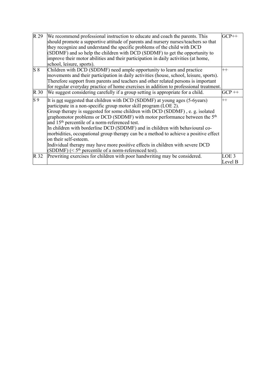| $\overline{R}$ 29 | We recommend professional instruction to educate and coach the parents. This            | $GCP++$ |
|-------------------|-----------------------------------------------------------------------------------------|---------|
|                   | should promote a supportive attitude of parents and nursery nurses/teachers so that     |         |
|                   | they recognize and understand the specific problems of the child with DCD               |         |
|                   | (SDDMF) and so help the children with DCD (SDDMF) to get the opportunity to             |         |
|                   | improve their motor abilities and their participation in daily activities (at home,     |         |
|                   | school, leisure, sports).                                                               |         |
| $\mathbf{S}$ 8    | Children with DCD (SDDMF) need ample opportunity to learn and practice                  | $++$    |
|                   | movements and their participation in daily activities (house, school, leisure, sports). |         |
|                   | Therefore support from parents and teachers and other related persons is important      |         |
|                   | for regular everyday practice of home exercises in addition to professional treatment.  |         |
| $\mathbb{R}$ 30   | We suggest considering carefully if a group setting is appropriate for a child.         | $GCP++$ |
| $\overline{S9}$   | It is not suggested that children with DCD (SDDMF) at young ages (5-6years)             | $++$    |
|                   | participate in a non-specific group motor skill program (LOE 2).                        |         |
|                   | Group therapy is suggested for some children with DCD (SDDMF), e. g. isolated           |         |
|                   | graphomotor problems or DCD (SDDMF) with motor performance between the $5th$            |         |
|                   | and 15 <sup>th</sup> percentile of a norm-referenced test.                              |         |
|                   | In children with borderline DCD (SDDMF) and in children with behavioural co-            |         |
|                   | morbidities, occupational group therapy can be a method to achieve a positive effect    |         |
|                   | on their self-esteem.                                                                   |         |
|                   | Individual therapy may have more positive effects in children with severe DCD           |         |
|                   | (SDDMF) ( $\leq$ 5 <sup>th</sup> percentile of a norm-referenced test).                 |         |
| R 32              | Prewriting exercises for children with poor handwriting may be considered.              | LOE 3   |
|                   |                                                                                         | Level B |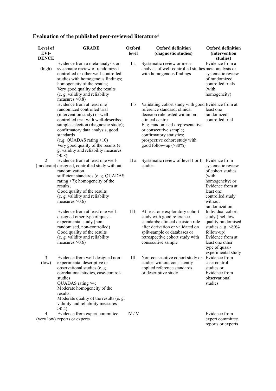## **Evaluation of the published peer-reviewed literature\***

| Level of<br>EVI-<br><b>DENCE</b> | <b>GRADE</b>                                                                                                                                                                                                                                                                                                                                           | Oxford<br>level | <b>Oxford definition</b><br>(diagnostic studies)                                                                                                                                                                                                                                                 | <b>Oxford definition</b><br><i>(intervention)</i><br>studies)                                                                                                                     |
|----------------------------------|--------------------------------------------------------------------------------------------------------------------------------------------------------------------------------------------------------------------------------------------------------------------------------------------------------------------------------------------------------|-----------------|--------------------------------------------------------------------------------------------------------------------------------------------------------------------------------------------------------------------------------------------------------------------------------------------------|-----------------------------------------------------------------------------------------------------------------------------------------------------------------------------------|
| $\mathbf{1}$<br>(high)           | Evidence from a meta-analysis or<br>systematic review of randomized<br>controlled or other well-controlled<br>studies with homogenous findings;<br>homogeneity of the results;<br>Very good quality of the results<br>(e. g. validity and reliability<br>measures $>0.8$ )                                                                             | I a             | Systematic review or meta-<br>analysis of well-controlled studies meta-analysis or<br>with homogenous findings                                                                                                                                                                                   | Evidence from a<br>systematic review<br>of randomized<br>controlled trials<br>(with<br>homogeneity)                                                                               |
|                                  | Evidence from at least one<br>randomized controlled trial<br>(intervention study) or well-<br>controlled trial with well-described<br>sample selection (diagnostic study);<br>confirmatory data analysis, good<br>standards<br>(e.g. QUADAS rating $>10$ )<br>Very good quality of the results (e.<br>g. validity and reliability measures<br>$>0.8$ ) | I b             | Validating cohort study with good Evidence from at<br>reference standard; clinical<br>decision rule tested within on<br>clinical centre.<br>E. g. randomised / representative<br>or consecutive sample;<br>confirmatory statistics;<br>prospective cohort study with<br>good follow-up $(>80\%)$ | least one<br>randomized<br>controlled trial                                                                                                                                       |
| 2                                | Evidence from at least one well-<br>(moderate) designed, controlled study without<br>randomization<br>sufficient standards (e. g. QUADAS<br>rating $>7$ ); homogeneity of the<br>results;<br>Good quality of the results<br>(e. g. validity and reliability<br>measures $>0.6$ )                                                                       | II a            | Systematic review of level I or II Evidence from<br>studies                                                                                                                                                                                                                                      | systematic review<br>of cohort studies<br>(with<br>homogeneity) or<br>Evidence from at<br>least one<br>controlled study<br>without<br>randomization                               |
|                                  | Evidence from at least one well-<br>designed other type of quasi-<br>experimental study (non-<br>randomised, non-controlled)<br>Good quality of the results<br>(e. g. validity and reliability<br>measures $>0.6$ )                                                                                                                                    | II b            | At least one exploratory cohort<br>study with good reference<br>standards; clinical decision rule<br>after derivation or validated on<br>split-sample or databases or<br>retrospective cohort study with<br>consecutive sample                                                                   | Individual cohort<br>study (incl. low<br>quality randomised<br>studies e. g. $<80\%$<br>follow-up)<br>Evidence from at<br>least one other<br>type of quasi-<br>experimental study |
| 3<br>(low)                       | Evidence from well-designed non-<br>experimental descriptive or<br>observational studies (e. g.<br>correlational studies, case-control-<br>studies<br>QUADAS rating >4;<br>Moderate homogeneity of the<br>results;<br>Moderate quality of the results (e. g.<br>validity and reliability measures<br>>0.4                                              | Ш               | Non-consecutive cohort study or<br>studies without consistently<br>applied reference standards<br>or descriptive study                                                                                                                                                                           | Evidence from<br>case-control<br>studies or<br>Evidence from<br>observational<br>studies                                                                                          |
| 4                                | Evidence from expert committee<br>(very low) reports or experts                                                                                                                                                                                                                                                                                        | IV/V            |                                                                                                                                                                                                                                                                                                  | Evidence from<br>expert committee<br>reports or experts                                                                                                                           |